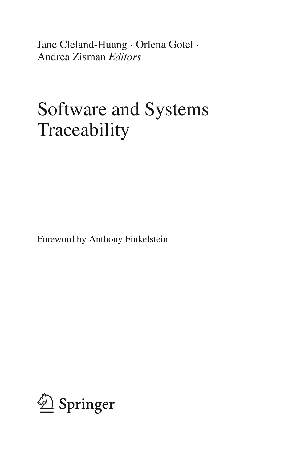Jane Cleland-Huang · Orlena Gotel · Andrea Zisman *Editors*

## Software and Systems Traceability

Foreword by Anthony Finkelstein

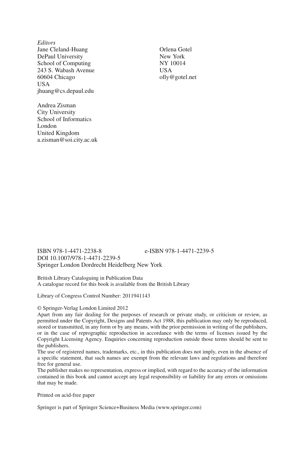*Editors* Jane Cleland-Huang DePaul University School of Computing 243 S. Wabash Avenue 60604 Chicago USA jhuang@cs.depaul.edu

Andrea Zisman City University School of Informatics London United Kingdom a.zisman@soi.city.ac.uk Orlena Gotel New York NY 10014 **IISA** olly@gotel.net

ISBN 978-1-4471-2238-8 e-ISBN 978-1-4471-2239-5 DOI 10.1007/978-1-4471-2239-5 Springer London Dordrecht Heidelberg New York

British Library Cataloguing in Publication Data A catalogue record for this book is available from the British Library

Library of Congress Control Number: 2011941143

## © Springer-Verlag London Limited 2012

Apart from any fair dealing for the purposes of research or private study, or criticism or review, as permitted under the Copyright, Designs and Patents Act 1988, this publication may only be reproduced, stored or transmitted, in any form or by any means, with the prior permission in writing of the publishers, or in the case of reprographic reproduction in accordance with the terms of licenses issued by the Copyright Licensing Agency. Enquiries concerning reproduction outside those terms should be sent to the publishers.

The use of registered names, trademarks, etc., in this publication does not imply, even in the absence of a specific statement, that such names are exempt from the relevant laws and regulations and therefore free for general use.

The publisher makes no representation, express or implied, with regard to the accuracy of the information contained in this book and cannot accept any legal responsibility or liability for any errors or omissions that may be made.

Printed on acid-free paper

Springer is part of Springer Science+Business Media (www.springer.com)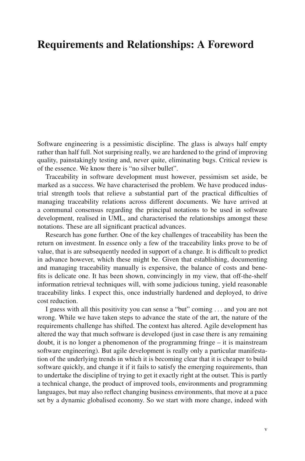## **Requirements and Relationships: A Foreword**

Software engineering is a pessimistic discipline. The glass is always half empty rather than half full. Not surprising really, we are hardened to the grind of improving quality, painstakingly testing and, never quite, eliminating bugs. Critical review is of the essence. We know there is "no silver bullet".

Traceability in software development must however, pessimism set aside, be marked as a success. We have characterised the problem. We have produced industrial strength tools that relieve a substantial part of the practical difficulties of managing traceability relations across different documents. We have arrived at a communal consensus regarding the principal notations to be used in software development, realised in UML, and characterised the relationships amongst these notations. These are all significant practical advances.

Research has gone further. One of the key challenges of traceability has been the return on investment. In essence only a few of the traceability links prove to be of value, that is are subsequently needed in support of a change. It is difficult to predict in advance however, which these might be. Given that establishing, documenting and managing traceability manually is expensive, the balance of costs and benefits is delicate one. It has been shown, convincingly in my view, that off-the-shelf information retrieval techniques will, with some judicious tuning, yield reasonable traceability links. I expect this, once industrially hardened and deployed, to drive cost reduction.

I guess with all this positivity you can sense a "but" coming ... and you are not wrong. While we have taken steps to advance the state of the art, the nature of the requirements challenge has shifted. The context has altered. Agile development has altered the way that much software is developed (just in case there is any remaining doubt, it is no longer a phenomenon of the programming fringe – it is mainstream software engineering). But agile development is really only a particular manifestation of the underlying trends in which it is becoming clear that it is cheaper to build software quickly, and change it if it fails to satisfy the emerging requirements, than to undertake the discipline of trying to get it exactly right at the outset. This is partly a technical change, the product of improved tools, environments and programming languages, but may also reflect changing business environments, that move at a pace set by a dynamic globalised economy. So we start with more change, indeed with